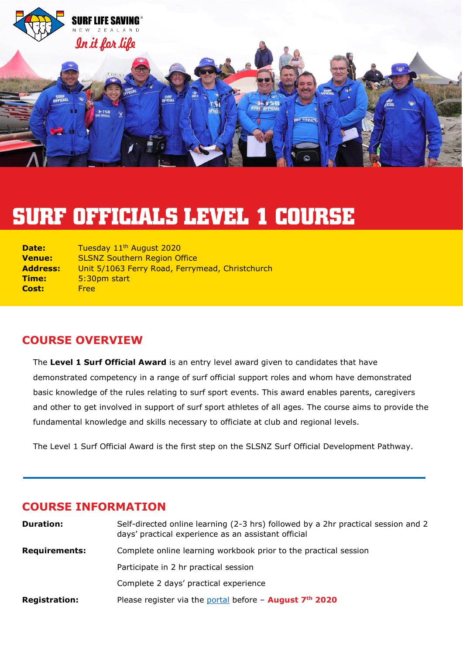

# **SURF OFFICIALS LEVEL 1 COURSE**

| <b>Date:</b>  | Tuesday 11 <sup>th</sup> August 2020            |
|---------------|-------------------------------------------------|
| <b>Venue:</b> | <b>SLSNZ Southern Region Office</b>             |
| Address:      | Unit 5/1063 Ferry Road, Ferrymead, Christchurch |
| Time:         | 5:30pm start                                    |
| <b>Cost:</b>  | <b>Free</b>                                     |

#### **COURSE OVERVIEW**

The **Level 1 Surf Official Award** is an entry level award given to candidates that have demonstrated competency in a range of surf official support roles and whom have demonstrated basic knowledge of the rules relating to surf sport events. This award enables parents, caregivers and other to get involved in support of surf sport athletes of all ages. The course aims to provide the fundamental knowledge and skills necessary to officiate at club and regional levels.

The Level 1 Surf Official Award is the first step on the SLSNZ Surf Official Development Pathway.

#### **COURSE INFORMATION**

| <b>Duration:</b>     | Self-directed online learning (2-3 hrs) followed by a 2hr practical session and 2<br>days' practical experience as an assistant official |
|----------------------|------------------------------------------------------------------------------------------------------------------------------------------|
| <b>Requirements:</b> | Complete online learning workbook prior to the practical session                                                                         |
|                      | Participate in 2 hr practical session                                                                                                    |
|                      | Complete 2 days' practical experience                                                                                                    |
| <b>Registration:</b> | Please register via the portal before $-$ August $7th$ 2020                                                                              |